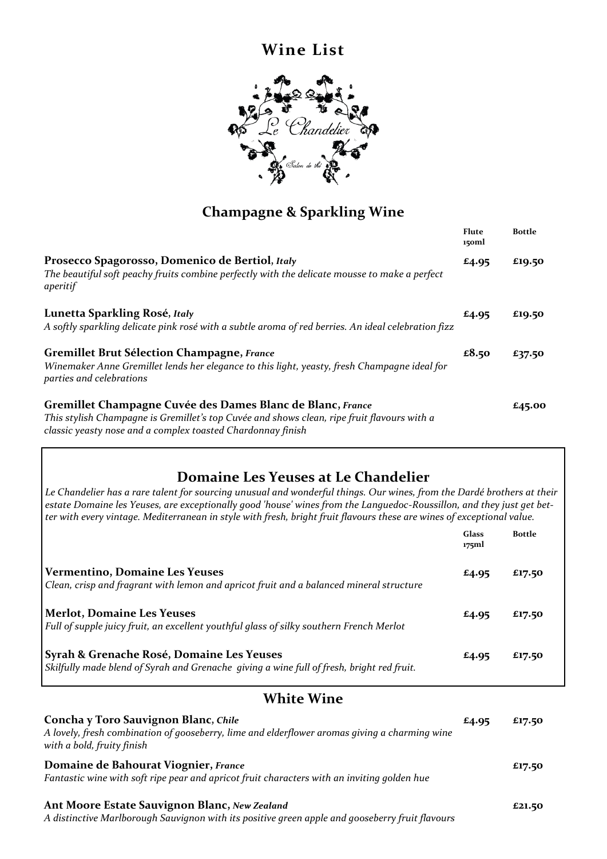## **Wine List**



## **Champagne & Sparkling Wine**

|                                                                                                                                                                                                                          | Flute<br>150ml | <b>Bottle</b> |
|--------------------------------------------------------------------------------------------------------------------------------------------------------------------------------------------------------------------------|----------------|---------------|
| Prosecco Spagorosso, Domenico de Bertiol, Italy<br>The beautiful soft peachy fruits combine perfectly with the delicate mousse to make a perfect<br>aperitif                                                             | £4.95          | £19.50        |
| Lunetta Sparkling Rosé, Italy<br>A softly sparkling delicate pink rosé with a subtle aroma of red berries. An ideal celebration fizz                                                                                     | £4.95          | £19.50        |
| <b>Gremillet Brut Sélection Champagne, France</b><br>Winemaker Anne Gremillet lends her elegance to this light, yeasty, fresh Champagne ideal for<br>parties and celebrations                                            | £8.50          | £37.50        |
| Gremillet Champagne Cuvée des Dames Blanc de Blanc, France<br>This stylish Champagne is Gremillet's top Cuvée and shows clean, ripe fruit flavours with a<br>classic yeasty nose and a complex toasted Chardonnay finish |                | £45.00        |

## **Domaine Les Yeuses at Le Chandelier**

*Le Chandelier has a rare talent for sourcing unusual and wonderful things. Our wines, from the Dardé brothers at their estate Domaine les Yeuses, are exceptionally good 'house' wines from the Languedoc-Roussillon, and they just get better with every vintage. Mediterranean in style with fresh, bright fruit flavours these are wines of exceptional value.*

|                                                                                                                                                | Glass<br>175ml | <b>Bottle</b> |
|------------------------------------------------------------------------------------------------------------------------------------------------|----------------|---------------|
| <b>Vermentino, Domaine Les Yeuses</b><br>Clean, crisp and fragrant with lemon and apricot fruit and a balanced mineral structure               | £4.95          | £17.50        |
| <b>Merlot, Domaine Les Yeuses</b><br>Full of supple juicy fruit, an excellent youthful glass of silky southern French Merlot                   | £4.95          | £17.50        |
| Syrah & Grenache Rosé, Domaine Les Yeuses<br>$\vert$ Skilfully made blend of Syrah and Grenache giving a wine full of fresh, bright red fruit. | £4.95          | £17.50        |

## **White Wine**

| Concha y Toro Sauvignon Blanc, Chile                                                                                                             | £4.95 | £17.50 |
|--------------------------------------------------------------------------------------------------------------------------------------------------|-------|--------|
| A lovely, fresh combination of gooseberry, lime and elderflower aromas giving a charming wine<br>with a bold, fruity finish                      |       |        |
| Domaine de Bahourat Viognier, France<br>Fantastic wine with soft ripe pear and apricot fruit characters with an inviting golden hue              |       | £17.50 |
| Ant Moore Estate Sauvignon Blanc, New Zealand<br>A distinctive Marlborough Sauvignon with its positive green apple and gooseberry fruit flavours |       | £21.50 |